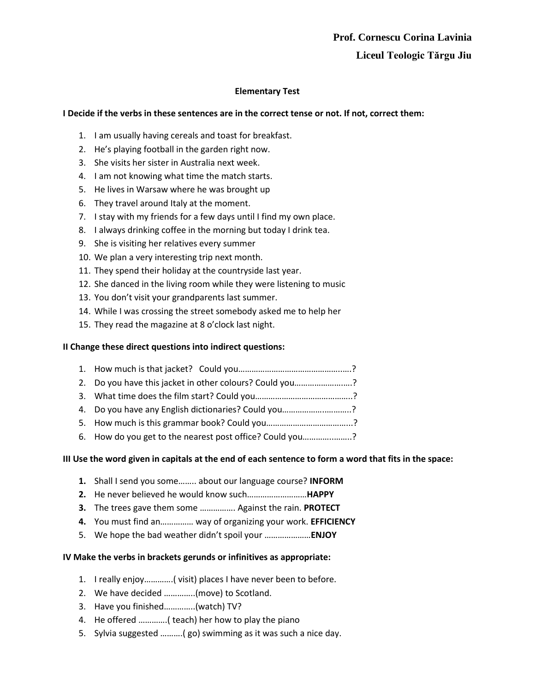# **Elementary Test**

### **I Decide if the verbs in these sentences are in the correct tense or not. If not, correct them:**

- 1. I am usually having cereals and toast for breakfast.
- 2. He's playing football in the garden right now.
- 3. She visits her sister in Australia next week.
- 4. I am not knowing what time the match starts.
- 5. He lives in Warsaw where he was brought up
- 6. They travel around Italy at the moment.
- 7. I stay with my friends for a few days until I find my own place.
- 8. I always drinking coffee in the morning but today I drink tea.
- 9. She is visiting her relatives every summer
- 10. We plan a very interesting trip next month.
- 11. They spend their holiday at the countryside last year.
- 12. She danced in the living room while they were listening to music
- 13. You don't visit your grandparents last summer.
- 14. While I was crossing the street somebody asked me to help her
- 15. They read the magazine at 8 o'clock last night.

### **II Change these direct questions into indirect questions:**

- 1. How much is that jacket? Could you………………………………………..….?
- 2. Do you have this jacket in other colours? Could you………………….….?
- 3. What time does the film start? Could you……………………………………..?
- 4. Do you have any English dictionaries? Could you………………..………..?
- 5. How much is this grammar book? Could you………………………………...?
- 6. How do you get to the nearest post office? Could you…………..……..?

### **III Use the word given in capitals at the end of each sentence to form a word that fits in the space:**

- **1.** Shall I send you some…….. about our language course? **INFORM**
- **2.** He never believed he would know such………………………**HAPPY**
- **3.** The trees gave them some ……………. Against the rain. **PROTECT**
- **4.** You must find an…………… way of organizing your work. **EFFICIENCY**
- 5. We hope the bad weather didn't spoil your …………………**ENJOY**

### **IV Make the verbs in brackets gerunds or infinitives as appropriate:**

- 1. I really enjoy………….( visit) places I have never been to before.
- 2. We have decided …………..(move) to Scotland.
- 3. Have you finished…………..(watch) TV?
- 4. He offered ………….( teach) her how to play the piano
- 5. Sylvia suggested ……….( go) swimming as it was such a nice day.